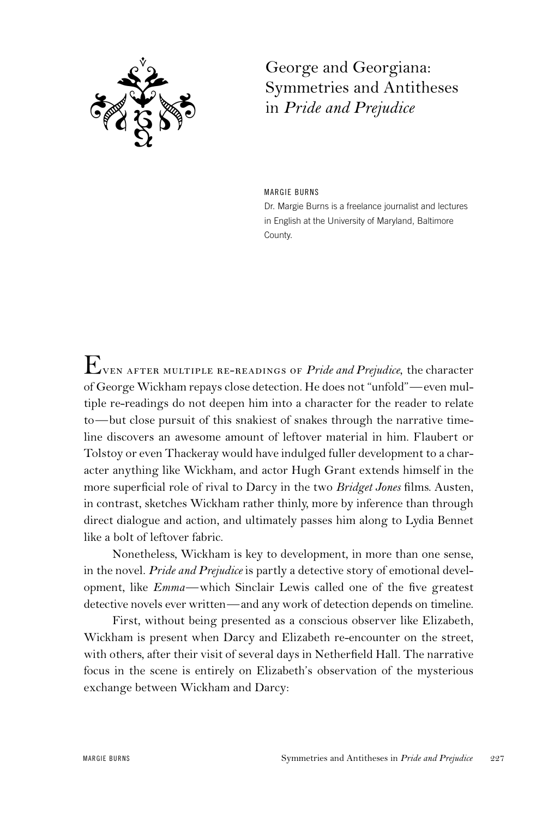

George and Georgiana: Symmetries and Antitheses in *Pride and Prejudice*

MARGIE BURNS Dr. Margie Burns is a freelance journalist and lectures in English at the University of Maryland, Baltimore County.

Even after multiple re-readings of *Pride and Prejudice*, the character of George Wickham repays close detection. He does not "unfold"—even multiple re-readings do not deepen him into a character for the reader to relate to—but close pursuit of this snakiest of snakes through the narrative timeline discovers an awesome amount of leftover material in him. Flaubert or Tolstoy or even Thackeray would have indulged fuller development to a character anything like Wickham, and actor Hugh Grant extends himself in the more superficial role of rival to Darcy in the two *Bridget Jones* films. Austen, in contrast, sketches Wickham rather thinly, more by inference than through direct dialogue and action, and ultimately passes him along to Lydia Bennet like a bolt of leftover fabric.

Nonetheless, Wickham is key to development, in more than one sense, in the novel. *Pride and Prejudice* is partly a detective story of emotional development, like *Emma*—which Sinclair Lewis called one of the five greatest detective novels ever written—and any work of detection depends on timeline.

First, without being presented as a conscious observer like Elizabeth, Wickham is present when Darcy and Elizabeth re-encounter on the street, with others, after their visit of several days in Netherfield Hall. The narrative focus in the scene is entirely on Elizabeth's observation of the mysterious exchange between Wickham and Darcy: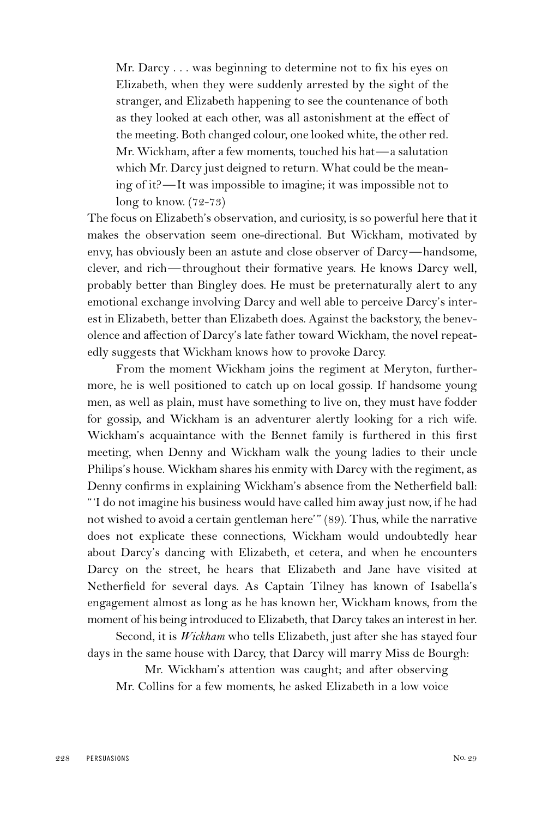Mr. Darcy . . . was beginning to determine not to fix his eyes on Elizabeth, when they were suddenly arrested by the sight of the stranger, and Elizabeth happening to see the countenance of both as they looked at each other, was all astonishment at the effect of the meeting. Both changed colour, one looked white, the other red. Mr. Wickham, after a few moments, touched his hat—a salutation which Mr. Darcy just deigned to return. What could be the meaning of it?—It was impossible to imagine; it was impossible not to long to know. (72-73)

The focus on Elizabeth's observation, and curiosity, is so powerful here that it makes the observation seem one-directional. But Wickham, motivated by envy, has obviously been an astute and close observer of Darcy—handsome, clever, and rich—throughout their formative years. He knows Darcy well, probably better than Bingley does. He must be preternaturally alert to any emotional exchange involving Darcy and well able to perceive Darcy's interest in Elizabeth, better than Elizabeth does. Against the backstory, the benevolence and affection of Darcy's late father toward Wickham, the novel repeatedly suggests that Wickham knows how to provoke Darcy.

From the moment Wickham joins the regiment at Meryton, furthermore, he is well positioned to catch up on local gossip. If handsome young men, as well as plain, must have something to live on, they must have fodder for gossip, and Wickham is an adventurer alertly looking for a rich wife. Wickham's acquaintance with the Bennet family is furthered in this first meeting, when Denny and Wickham walk the young ladies to their uncle Philips's house. Wickham shares his enmity with Darcy with the regiment, as Denny confirms in explaining Wickham's absence from the Netherfield ball: "'I do not imagine his business would have called him away just now, if he had not wished to avoid a certain gentleman here'" (89). Thus, while the narrative does not explicate these connections, Wickham would undoubtedly hear about Darcy's dancing with Elizabeth, et cetera, and when he encounters Darcy on the street, he hears that Elizabeth and Jane have visited at Netherfield for several days. As Captain Tilney has known of Isabella's engagement almost as long as he has known her, Wickham knows, from the moment of his being introduced to Elizabeth, that Darcy takes an interest in her.

Second, it is *Wickham* who tells Elizabeth, just after she has stayed four days in the same house with Darcy, that Darcy will marry Miss de Bourgh:

Mr. Wickham's attention was caught; and after observing Mr. Collins for a few moments, he asked Elizabeth in a low voice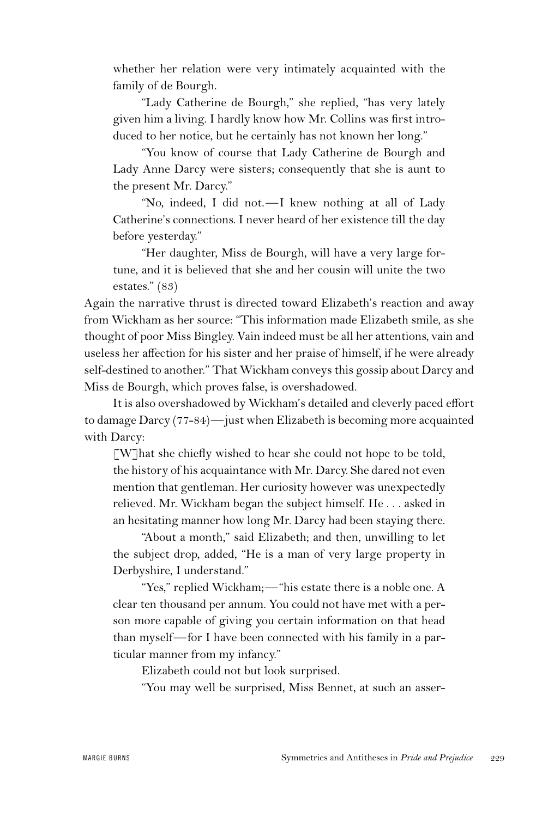whether her relation were very intimately acquainted with the family of de Bourgh.

"Lady Catherine de Bourgh," she replied, "has very lately given him a living. I hardly know how Mr. Collins was first introduced to her notice, but he certainly has not known her long."

"You know of course that Lady Catherine de Bourgh and Lady Anne Darcy were sisters; consequently that she is aunt to the present Mr. Darcy."

"No, indeed, I did not.—I knew nothing at all of Lady Catherine's connections. I never heard of her existence till the day before yesterday."

"Her daughter, Miss de Bourgh, will have a very large fortune, and it is believed that she and her cousin will unite the two estates." (83)

Again the narrative thrust is directed toward Elizabeth's reaction and away from Wickham as her source: "This information made Elizabeth smile, as she thought of poor Miss Bingley. Vain indeed must be all her attentions, vain and useless her affection for his sister and her praise of himself, if he were already self-destined to another." That Wickham conveys this gossip about Darcy and Miss de Bourgh, which proves false, is overshadowed.

It is also overshadowed by Wickham's detailed and cleverly paced effort to damage Darcy (77-84)—just when Elizabeth is becoming more acquainted with Darcy:

[W]hat she chiefly wished to hear she could not hope to be told, the history of his acquaintance with Mr. Darcy. She dared not even mention that gentleman. Her curiosity however was unexpectedly relieved. Mr. Wickham began the subject himself. He . . . asked in an hesitating manner how long Mr. Darcy had been staying there.

"About a month," said Elizabeth; and then, unwilling to let the subject drop, added, "He is a man of very large property in Derbyshire, I understand."

"Yes," replied Wickham;—"his estate there is a noble one. A clear ten thousand per annum. You could not have met with a person more capable of giving you certain information on that head than myself—for I have been connected with his family in a particular manner from my infancy."

Elizabeth could not but look surprised.

"You may well be surprised, Miss Bennet, at such an asser-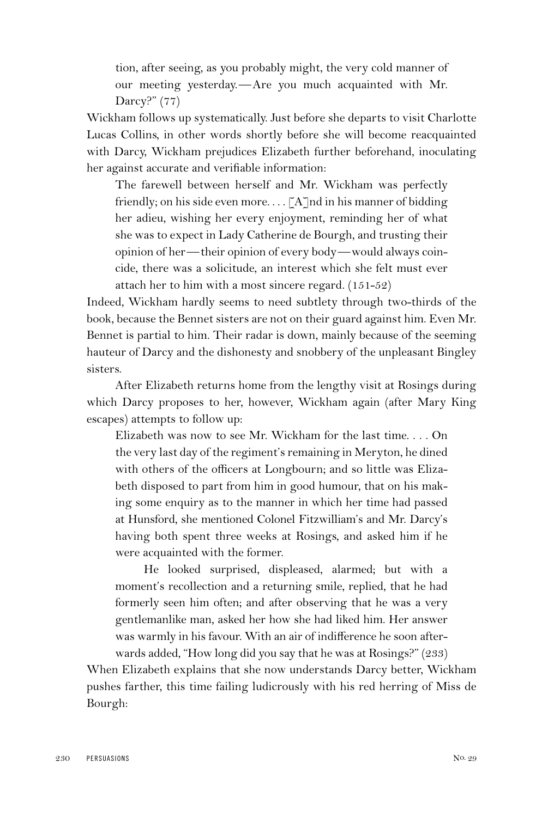tion, after seeing, as you probably might, the very cold manner of our meeting yesterday.—Are you much acquainted with Mr. Darcy?" (77)

Wickham follows up systematically. Just before she departs to visit Charlotte Lucas Collins, in other words shortly before she will become reacquainted with Darcy, Wickham prejudices Elizabeth further beforehand, inoculating her against accurate and verifiable information:

The farewell between herself and Mr. Wickham was perfectly friendly; on his side even more...  $\lceil A \rceil$ nd in his manner of bidding her adieu, wishing her every enjoyment, reminding her of what she was to expect in Lady Catherine de Bourgh, and trusting their opinion of her—their opinion of every body—would always coincide, there was a solicitude, an interest which she felt must ever attach her to him with a most sincere regard. (151-52)

Indeed, Wickham hardly seems to need subtlety through two-thirds of the book, because the Bennet sisters are not on their guard against him. Even Mr. Bennet is partial to him. Their radar is down, mainly because of the seeming hauteur of Darcy and the dishonesty and snobbery of the unpleasant Bingley sisters.

After Elizabeth returns home from the lengthy visit at Rosings during which Darcy proposes to her, however, Wickham again (after Mary King escapes) attempts to follow up:

Elizabeth was now to see Mr. Wickham for the last time. . . . On the very last day of the regiment's remaining in Meryton, he dined with others of the officers at Longbourn; and so little was Elizabeth disposed to part from him in good humour, that on his making some enquiry as to the manner in which her time had passed at Hunsford, she mentioned Colonel Fitzwilliam's and Mr. Darcy's having both spent three weeks at Rosings, and asked him if he were acquainted with the former.

He looked surprised, displeased, alarmed; but with a moment's recollection and a returning smile, replied, that he had formerly seen him often; and after observing that he was a very gentlemanlike man, asked her how she had liked him. Her answer was warmly in his favour. With an air of indifference he soon afterwards added, "How long did you say that he was at Rosings?" (233)

When Elizabeth explains that she now understands Darcy better, Wickham pushes farther, this time failing ludicrously with his red herring of Miss de Bourgh: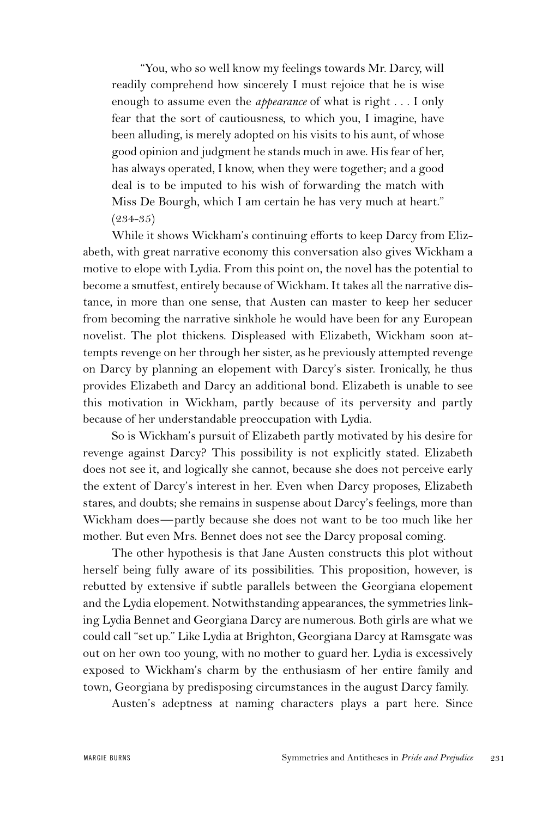"You, who so well know my feelings towards Mr. Darcy, will readily comprehend how sincerely I must rejoice that he is wise enough to assume even the *appearance* of what is right . . . I only fear that the sort of cautiousness, to which you, I imagine, have been alluding, is merely adopted on his visits to his aunt, of whose good opinion and judgment he stands much in awe. His fear of her, has always operated, I know, when they were together; and a good deal is to be imputed to his wish of forwarding the match with Miss De Bourgh, which I am certain he has very much at heart."  $(234 - 35)$ 

While it shows Wickham's continuing efforts to keep Darcy from Elizabeth, with great narrative economy this conversation also gives Wickham a motive to elope with Lydia. From this point on, the novel has the potential to become a smutfest, entirely because of Wickham. It takes all the narrative distance, in more than one sense, that Austen can master to keep her seducer from becoming the narrative sinkhole he would have been for any European novelist. The plot thickens. Displeased with Elizabeth, Wickham soon attempts revenge on her through her sister, as he previously attempted revenge on Darcy by planning an elopement with Darcy's sister. Ironically, he thus provides Elizabeth and Darcy an additional bond. Elizabeth is unable to see this motivation in Wickham, partly because of its perversity and partly because of her understandable preoccupation with Lydia.

So is Wickham's pursuit of Elizabeth partly motivated by his desire for revenge against Darcy? This possibility is not explicitly stated. Elizabeth does not see it, and logically she cannot, because she does not perceive early the extent of Darcy's interest in her. Even when Darcy proposes, Elizabeth stares, and doubts; she remains in suspense about Darcy's feelings, more than Wickham does—partly because she does not want to be too much like her mother. But even Mrs. Bennet does not see the Darcy proposal coming.

The other hypothesis is that Jane Austen constructs this plot without herself being fully aware of its possibilities. This proposition, however, is rebutted by extensive if subtle parallels between the Georgiana elopement and the Lydia elopement. Notwithstanding appearances, the symmetries linking Lydia Bennet and Georgiana Darcy are numerous. Both girls are what we could call "set up." Like Lydia at Brighton, Georgiana Darcy at Ramsgate was out on her own too young, with no mother to guard her. Lydia is excessively exposed to Wickham's charm by the enthusiasm of her entire family and town, Georgiana by predisposing circumstances in the august Darcy family.

Austen's adeptness at naming characters plays a part here. Since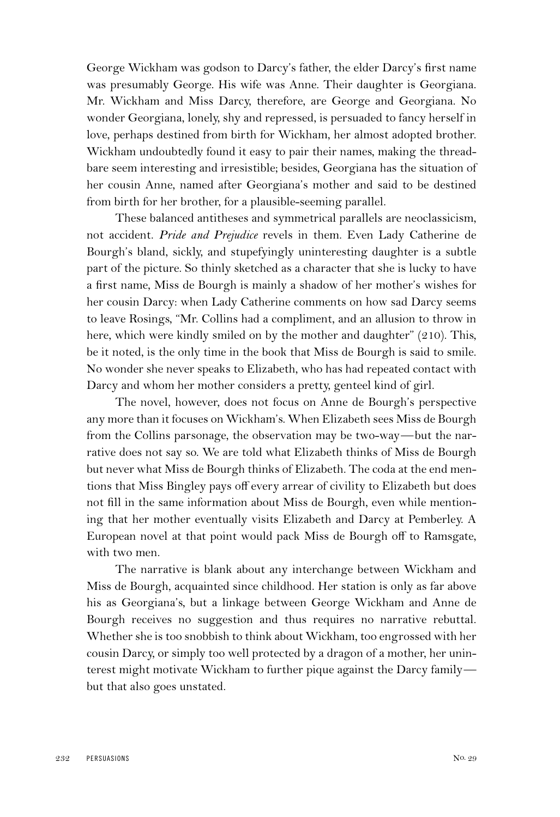George Wickham was godson to Darcy's father, the elder Darcy's first name was presumably George. His wife was Anne. Their daughter is Georgiana. Mr. Wickham and Miss Darcy, therefore, are George and Georgiana. No wonder Georgiana, lonely, shy and repressed, is persuaded to fancy herself in love, perhaps destined from birth for Wickham, her almost adopted brother. Wickham undoubtedly found it easy to pair their names, making the threadbare seem interesting and irresistible; besides, Georgiana has the situation of her cousin Anne, named after Georgiana's mother and said to be destined from birth for her brother, for a plausible-seeming parallel.

These balanced antitheses and symmetrical parallels are neoclassicism, not accident. *Pride and Prejudice* revels in them. Even Lady Catherine de Bourgh's bland, sickly, and stupefyingly uninteresting daughter is a subtle part of the picture. So thinly sketched as a character that she is lucky to have a first name, Miss de Bourgh is mainly a shadow of her mother's wishes for her cousin Darcy: when Lady Catherine comments on how sad Darcy seems to leave Rosings, "Mr. Collins had a compliment, and an allusion to throw in here, which were kindly smiled on by the mother and daughter" (210). This, be it noted, is the only time in the book that Miss de Bourgh is said to smile. No wonder she never speaks to Elizabeth, who has had repeated contact with Darcy and whom her mother considers a pretty, genteel kind of girl.

The novel, however, does not focus on Anne de Bourgh's perspective any more than it focuses on Wickham's. When Elizabeth sees Miss de Bourgh from the Collins parsonage, the observation may be two-way—but the narrative does not say so. We are told what Elizabeth thinks of Miss de Bourgh but never what Miss de Bourgh thinks of Elizabeth. The coda at the end mentions that Miss Bingley pays off every arrear of civility to Elizabeth but does not fill in the same information about Miss de Bourgh, even while mentioning that her mother eventually visits Elizabeth and Darcy at Pemberley. A European novel at that point would pack Miss de Bourgh off to Ramsgate, with two men.

The narrative is blank about any interchange between Wickham and Miss de Bourgh, acquainted since childhood. Her station is only as far above his as Georgiana's, but a linkage between George Wickham and Anne de Bourgh receives no suggestion and thus requires no narrative rebuttal. Whether she is too snobbish to think about Wickham, too engrossed with her cousin Darcy, or simply too well protected by a dragon of a mother, her uninterest might motivate Wickham to further pique against the Darcy family but that also goes unstated.